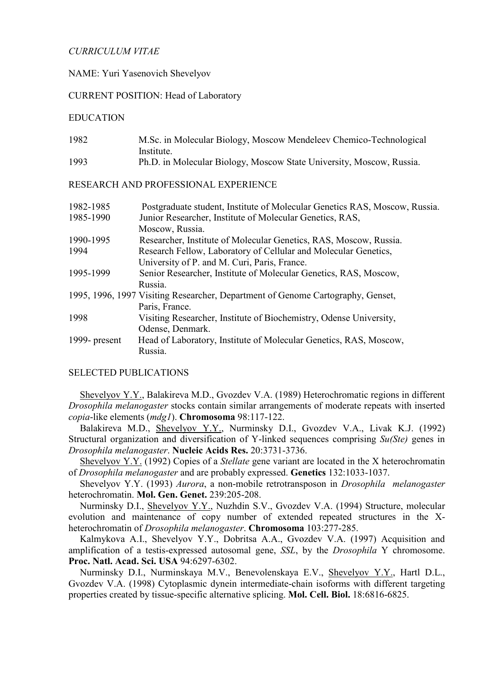# *CURRICULUM VITAE*

# NAME: Yuri Yasenovich Shevelyov

# CURRENT POSITION: Head of Laboratory

### EDUCATION

| 1982 | M.Sc. in Molecular Biology, Moscow Mendeleev Chemico-Technological   |
|------|----------------------------------------------------------------------|
|      | Institute.                                                           |
| 1993 | Ph.D. in Molecular Biology, Moscow State University, Moscow, Russia. |

#### RESEARCH AND PROFESSIONAL EXPERIENCE

| 1982-1985     | Postgraduate student, Institute of Molecular Genetics RAS, Moscow, Russia.      |
|---------------|---------------------------------------------------------------------------------|
| 1985-1990     | Junior Researcher, Institute of Molecular Genetics, RAS,                        |
|               | Moscow, Russia.                                                                 |
| 1990-1995     | Researcher, Institute of Molecular Genetics, RAS, Moscow, Russia.               |
| 1994          | Research Fellow, Laboratory of Cellular and Molecular Genetics,                 |
|               | University of P. and M. Curi, Paris, France.                                    |
| 1995-1999     | Senior Researcher, Institute of Molecular Genetics, RAS, Moscow,                |
|               | Russia.                                                                         |
|               | 1995, 1996, 1997 Visiting Researcher, Department of Genome Cartography, Genset, |
|               | Paris, France.                                                                  |
| 1998          | Visiting Researcher, Institute of Biochemistry, Odense University,              |
|               | Odense, Denmark.                                                                |
| 1999- present | Head of Laboratory, Institute of Molecular Genetics, RAS, Moscow,               |
|               | Russia.                                                                         |

#### SELECTED PUBLICATIONS

Shevelyov Y.Y., Balakireva M.D., Gvozdev V.A. (1989) Heterochromatic regions in different *Drosophila melanogaster* stocks contain similar arrangements of moderate repeats with inserted *copia*-like elements (*mdg1*). **Chromosoma** 98:117-122.

Balakireva M.D., Shevelyov Y.Y., Nurminsky D.I., Gvozdev V.A., Livak K.J. (1992) Structural organization and diversification of Y-linked sequences comprising *Su(Ste)* genes in *Drosophila melanogaster*. **Nucleic Acids Res.** 20:3731-3736.

Shevelyov Y.Y. (1992) Copies of a *Stellate* gene variant are located in the X heterochromatin of *Drosophila melanogaster* and are probably expressed. **Genetics** 132:1033-1037.

Shevelyov Y.Y. (1993) *Aurora*, a non-mobile retrotransposon in *Drosophila melanogaster* heterochromatin. **Mol. Gen. Genet.** 239:205-208.

Nurminsky D.I., Shevelyov Y.Y., Nuzhdin S.V., Gvozdev V.A. (1994) Structure, molecular evolution and maintenance of copy number of extended repeated structures in the Xheterochromatin of *Drosophila melanogaster*. **Chromosoma** 103:277-285.

Kalmykova A.I., Shevelyov Y.Y., Dobritsa A.A., Gvozdev V.A. (1997) Acquisition and amplification of a testis-expressed autosomal gene, *SSL*, by the *Drosophila* Y chromosome. **Proc. Natl. Acad. Sci. USA** 94:6297-6302.

Nurminsky D.I., Nurminskaya M.V., Benevolenskaya E.V., Shevelyov Y.Y., Hartl D.L., Gvozdev V.A. (1998) Cytoplasmic dynein intermediate-chain isoforms with different targeting properties created by tissue-specific alternative splicing. **Mol. Cell. Biol.** 18:6816-6825.